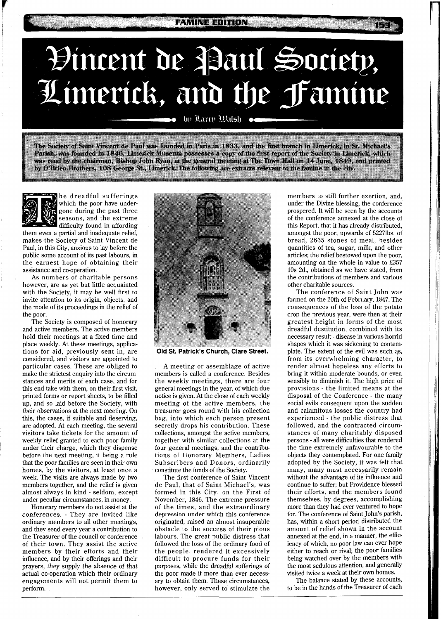## **FAMINE EDITION**

## Hincent de Paul Society, Limerick, and the Famine

by Larry Walsh

The Society of Saint Vincent de Paul was founded in Paris in 1833, and the first branch in Limerick, in St. Michael's Parish, was founded in 1846. Limerick Museum possesses a copy of the first report of the Society in Limerick, which was read by the chairman, Bishop John Ryan, at the general meeting at The Town Hall on 14 June, 1849, and printed by O'Brien Brothers, 108 George St., Limerick. The following are extracts relevant to the famine in the city.



he dreadful sufferings which the poor have undergone during the past three seasons, and the extreme difficulty found in affording

them even a partial and inadequate relief, makes the Society of Saint Vincent de Paul, in this City, anxious to lay before the public some account of its past labours, in the earnest hope of obtaining their assistance and co-operation.

As numbers of charitable persons however, are as yet but little acquainted with the Society, it may be well first to invite attention to its origin, objects, and the mode of its proceedings in the relief of the poor.

The Society is composed of honorary and active members. The active members hold their meetings at a fixed time and place weekly. At these meetings, applications for aid, previously sent in, are considered, and visitors are appointed to particular cases. These are obliged to make the strictest enquiry into the circumstances and merits of each case, and for this end take with them, on their first visit, printed forms or report sheets, to be filled up, and so laid before the Society, with their observations at the next meeting. On this, the cases, if suitable and deserving, are adopted. At each meeting, the several visitors take tickets for the amount of weekly relief granted to each poor family under their charge, which they dispense before the next meeting, it being a rule that the poor families are seen in their own homes, by the visitors, at least once a week. The visits are always made by two members together, and the relief is given almost always in kind - seldom, except under peculiar circumstances, in money.

Honorary members do not assist at the conferences. - They are invited like ordinary members to all other meetings, and they send every year a contribution to the Treasurer of the council or conference of their town. They assist the active members by their efforts and their influence, and by their offerings and their prayers, they supply the absence of that actual co-operation which their ordinary engagements will not permit them to perform.



**Old St. Patrick's Church, Clare Street.** 

A meeting or assemblage of active members is called a conference. Besides the weekly meetings, there are four general meetings in the year, of which due notice is given. At the close of each weekly meeting of the active members, the treasurer goes round with his collection bag, into which each person present secretly drops his contribution. These collections, amongst the active members, together with similar collections at the four general meetings, and the contributions of Honorary Members, Ladies Subscribers and Donors, ordinarily constitute the funds of the Society.

The first conference of Saint Vincent de Paul, that of Saint Michael's, was formed in this City, on the First of November, 1846. The extreme pressure of the times, and the extraordinary depression under which this conference originated, raised an almost insuperable obstacle to the success of their pious labours. The great public distress that followed the loss of the ordinary food of the people, rendered it excessively difficult to procure funds for their purposes, while the dreadful sufferings of the poor made it more than ever necessary to obtain them. These circumstances, however, only served to stimulate the

members to still further exertion, and, under the Divine blessing, the conference prospered. It will be seen by the accounts of the conference annexed at the close of this Report, that it has already distributed, amongst the poor, upwards of 52271bs. of bread, 2665 stones of meal, besides quantities of tea, sugar, milk, and other articles; the relief bestowed upon the poor, amounting on the whole in value to £357 10s 2d., obtained as we have stated, from the contributions of members and various other charitable sources.

The conference of Saint John was formed on the 20th of February, 1847. The consequences of the loss of the potato crop the previous year, were then at their greatest height in forms of the most dreadful destitution, combined with its necessary result - disease in various horrid shapes which it was sickening to contemplate. The extent of the evil was such as, from its overwhelming character, to render almost hopeless any efforts to bring it within moderate bounds, or even sensibly to diminish it. The high price of provisions - the limited means at the disposal of the Conference - the many social evils consequent upon the sudden and calamitous losses the country had experienced - the public distress that followed, and the contracted circumstances of many charitably disposed persons - all were difficulties that rendered the time extremely unfavourable to the objects they contemplated. For one family adopted by the Society, it was felt that many, many must necessarily remain without the advantage of its influence and continue to suffer; but Providence blessed their efforts, and the members found themselves, by degrees, accomplishing more than they had ever ventured to hope for. The conference of Saint John's parish, has, within a short period distributed the amount of relief shown in the account annexed at the end, in a manner, the efficiency of which, no poor law can ever hope either to reach or rival; the poor families being watched over by the members with the most sedulous attention, and generally visited twice a week at their own homes.

The balance stated by these accounts, to be in the hands of the Treasurer of each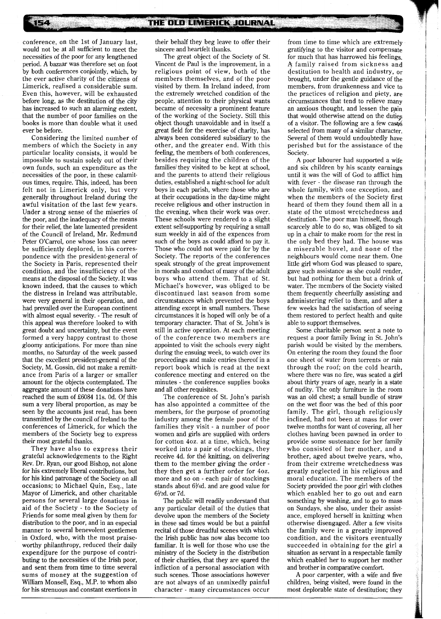conference, on the 1st of January last, would not be at all sufficient to meet the necessities of the poor for any lengthened period. **A** bazaar was therefore set on foot by both conferences conjointly, which, by the ever active charity of the citizens of Limerick, realised a considerable sum. Even this, however, will be exhausted before long, as the destitution of the city has increased to such an alarming extent, that the number of poor families on the books is more than double what it used ever be before.

154

Considering the limited number of members of which the Society in any particular locality consists, it would be impossible to sustain solely out of their own funds, such an expenditure as the necessities of the poor, in these calamitous times, require. This, indeed, has been felt not in Limerick only, but very generally throughout Ireland during the awful visitation of the last few years. Under a strong sense of the miseries of the poor, and the inadequacy of the means for their relief, the late lamented president of the Council of Ireland, Mr. Redmund Peter O'Carrol, one whose loss can never be sufficiently deplored, in his correspondence with the president-general of the Society in Paris, represented their condition, and the insufficiency of the means at the disposal of the Society. It was known indeed, that the causes to which the distress in Ireland was attributable, were very general in their operation, and had prevailed over the European continent with almost equal severity. - The result of this appeal was therefore looked to with great doubt and uncertainty, but the event formed a very happy contrast to those gloomy anticipations. For more than nine months, no Saturday of the week passed that the excellent president-general of the Society, M. Gossin, did not make a remittance from Paris of a larger or smaller amount for the objects contemplated. The aggregate amount of these donations have reached the sum of £6084 11s. Od. Of this sum a very liberal proportion, as may be seen by the accounts just read, has been transmitted by the council of Ireland to the conferences of Limerick, for which the members of the Society beg to express their most grateful thanks.

They have also to express their grateful acknowledgements to the Right Rev. Dr. Ryan, our good Bishop, not alone for his extremely liberal contributions, but for his kind patronage of the Society on all occasions; to Michael Quin, Esq., late Mayor of Limerick, and other charitable persons for several large donations in aid of the Society - to the Society of Friends for some meal given by them for distribution to the poor, and in an especial manner to several benevolent gentlemen in Oxford, who, with the most praiseworthy philanthropy, reduced their daily expenditure for the purpose of contributing to the necessities of the Irish poor, and sent them from time to time several sums of money at the suggestion of William Monsell, Esq., M.P. to whom also for his strenuous and constant exertions in

their behalf they beg leave to offer their sincere and heartfelt thanks.

The great object of the Society of St. Vincent de Paul is the improvement, in a religious point of view, both of the members themselves, and of the poor visited by them. In Ireland indeed, from the extremely wretched condition of the people, attention to their physical wants became of necessity a prominent feature of the working of the Society. Still this object though unavoidable and in itself a great field for the exercise of charity, has always been considered subsidiary to the other, and the greater end. With this feeling, the members of both conferences, besides requiring the children of the families they visited to be kept at school, and the parents to attend their religious duties, established a night-school for adult boys in each parish, where those who are at their occupations in the day-time might receive religious and other instruction in the evening, when their work was over. These schools were rendered to a slight extent self-supporting by requiring a small sum weekly in aid of the expences from such of the boys as could afford to pay it. Those who could not were paid for by the Society. The reports of the conferences speak strongly of the great improvement in morals and conduct of many of the adult boys who attend them. That of St. Michael's however, was obliged to be discontinued last season from some circumstances which prevented the boys attending except in small numbers. These circumstances it is hoped will only be of a temporary character. That of St. John's is still in active operation. At each meeting of the conference two members are appointed to visit the schools every night during the ensuing week, to watch over its proceedings and make entries thereof in a report book which is read at the next conference meeting and entered on the minutes - the conference supplies books and all other requisites.

The conference of St. John's parish has also appointed a committee of the members, for the purpose of promoting industry among the female poor of the families they visit - a number of poor women and girls are supplied with orders for cotton 402. at a time, which, being worked into a pair of stockings, they receive 4d. for the knitting, on delivering them to the member giving the order they then get a further order for 402. more and so on - each pair of stockings stands about 6Y4d. and are good value for 6Yzd. or 7d.

The public will readily understand that any particular detail of the duties that devolve upon the members of the Society in these sad times would be but a painful recital of those dreadful scenes with which the Irish public has now alas become too familiar. It is well for those who use the ministry of the Society in the distribution of their charities, that they are spared the infliction of a personal association with such scenes. Those associations however are not always of an unmixedly painful character - many circumstances occur

from time to time which are extremely gratifying to the visitor and compensate for much that has harrowed his feelings. **A** family raised from sickness and destitution to health and industry, or brought, under the gentle guidance of the members, from drunkenness and vice to the practices of religion and piety, are circumstances that tend to relieve many an anxious thought, and lessen the pain that would otherwise attend on the duties of a visitor. The following are a few cases selected from many of a similar character. Several of them would undoubtedly have perished but for the assistance of the Society.

A poor labourer had supported a wife and six children by his scanty earnings until it was the will of God to afflict him with fever - the disease ran through the whole family, with one exception, and when the members of the Society first heard of them they found them all in a state of the utmost wretchedness and destitution. The poor man himself, though scarcely able to do so, was obliged to sit up in a chair to make room for the rest in the only bed they had. The house was a miserable hovel, and none of the neighbours would come near them. One little girl whom God was pleased to spare, gave such assistance as she could render, but had nothing for them but a drink of water. The members of the Society visited them frequently cheerfully assisting and administering relief to them, and after a few weeks had the satisfaction of seeing them restored to perfect health and quite able to support themselves.

Some charitable person sent a note to request a poor family living in St. John's parish would be visited by the members. On entering the room they found the floor one sheet of water from torrents or rain through the roof; on the cold hearth, where there was no fire, was seated a girl about thirty years of age, nearly in a state of nudity. The only furniture in the room was an old chest; a small bundle of straw on the wet floor was the bed of this poor family. The girl, though religiously inclined, had not been at mass for over twelve months for want of covering, all her clothes having been pawned in order to provide some sustenance for her family who consisted of her mother, and a brother, aged about twelve years, who, from their extreme wretchedness was greatly neglected in his religious and moral education. The members of the Society provided the poor girl with clothes which enabled her to go out and earn something by washing, and to go to mass on Sundays, she also, under their assistance, employed herself in knitting when otherwise disengaged. After a few visits the family were in a greatly improved condition, and the visitors eventually succeeded in obtaining for the girl a situation as servant in a respectable family which enabled her to support her mother and brother in comparative comfort.

**A** poor carpenter, with a wife and five children, being visited, were found in the most deplorable state of destitution; they